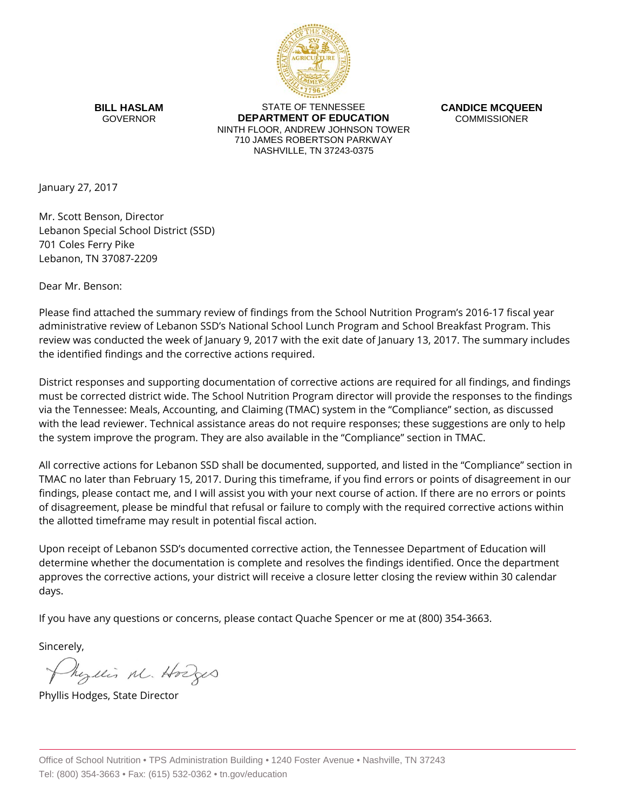

**BILL HASLAM** GOVERNOR

STATE OF TENNESSEE **DEPARTMENT OF EDUCATION** NINTH FLOOR, ANDREW JOHNSON TOWER 710 JAMES ROBERTSON PARKWAY NASHVILLE, TN 37243-0375

**CANDICE MCQUEEN** COMMISSIONER

January 27, 2017

Mr. Scott Benson, Director Lebanon Special School District (SSD) 701 Coles Ferry Pike Lebanon, TN 37087-2209

Dear Mr. Benson:

Please find attached the summary review of findings from the School Nutrition Program's 2016-17 fiscal year administrative review of Lebanon SSD's National School Lunch Program and School Breakfast Program. This review was conducted the week of January 9, 2017 with the exit date of January 13, 2017. The summary includes the identified findings and the corrective actions required.

District responses and supporting documentation of corrective actions are required for all findings, and findings must be corrected district wide. The School Nutrition Program director will provide the responses to the findings via the Tennessee: Meals, Accounting, and Claiming (TMAC) system in the "Compliance" section, as discussed with the lead reviewer. Technical assistance areas do not require responses; these suggestions are only to help the system improve the program. They are also available in the "Compliance" section in TMAC.

All corrective actions for Lebanon SSD shall be documented, supported, and listed in the "Compliance" section in TMAC no later than February 15, 2017. During this timeframe, if you find errors or points of disagreement in our findings, please contact me, and I will assist you with your next course of action. If there are no errors or points of disagreement, please be mindful that refusal or failure to comply with the required corrective actions within the allotted timeframe may result in potential fiscal action.

Upon receipt of Lebanon SSD's documented corrective action, the Tennessee Department of Education will determine whether the documentation is complete and resolves the findings identified. Once the department approves the corrective actions, your district will receive a closure letter closing the review within 30 calendar days.

If you have any questions or concerns, please contact Quache Spencer or me at (800) 354-3663.

Sincerely,

Myllis M. Hodges

Phyllis Hodges, State Director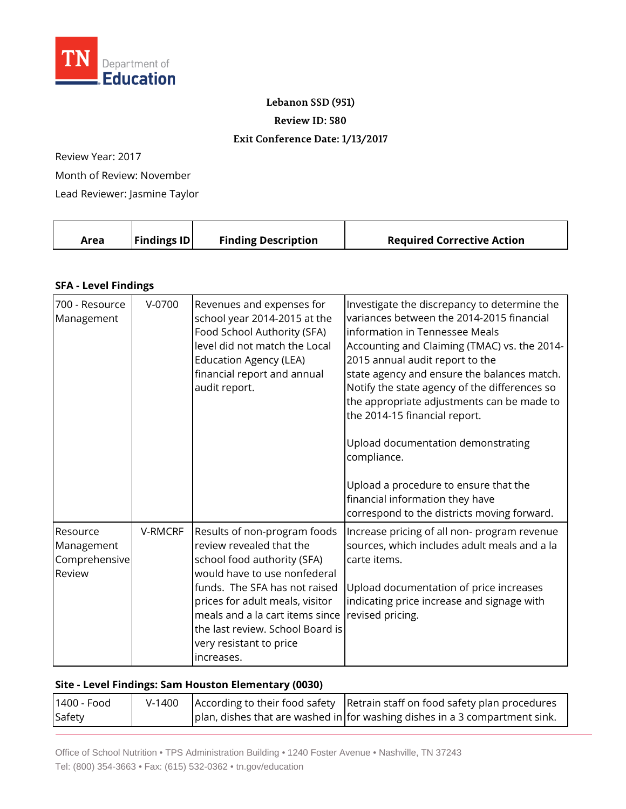

**Lebanon SSD (951)**

**Review ID: 580**

## **Exit Conference Date: 1/13/2017**

Review Year: 2017

Month of Review: November

Lead Reviewer: Jasmine Taylor

|  | Area | <b>Findings ID</b> | <b>Finding Description</b> | <b>Required Corrective Action</b> |
|--|------|--------------------|----------------------------|-----------------------------------|
|--|------|--------------------|----------------------------|-----------------------------------|

## **SFA - Level Findings**

| 700 - Resource<br>Management                      | $V-0700$ | Revenues and expenses for<br>school year 2014-2015 at the<br>Food School Authority (SFA)<br>level did not match the Local<br><b>Education Agency (LEA)</b><br>financial report and annual<br>audit report.                                                                                                  | Investigate the discrepancy to determine the<br>variances between the 2014-2015 financial<br>information in Tennessee Meals<br>Accounting and Claiming (TMAC) vs. the 2014-<br>2015 annual audit report to the<br>state agency and ensure the balances match.<br>Notify the state agency of the differences so<br>the appropriate adjustments can be made to<br>the 2014-15 financial report.<br>Upload documentation demonstrating<br>compliance. |
|---------------------------------------------------|----------|-------------------------------------------------------------------------------------------------------------------------------------------------------------------------------------------------------------------------------------------------------------------------------------------------------------|----------------------------------------------------------------------------------------------------------------------------------------------------------------------------------------------------------------------------------------------------------------------------------------------------------------------------------------------------------------------------------------------------------------------------------------------------|
|                                                   |          |                                                                                                                                                                                                                                                                                                             | Upload a procedure to ensure that the<br>financial information they have<br>correspond to the districts moving forward.                                                                                                                                                                                                                                                                                                                            |
| Resource<br>Management<br>Comprehensive<br>Review | V-RMCRF  | Results of non-program foods<br>review revealed that the<br>school food authority (SFA)<br>would have to use nonfederal<br>funds. The SFA has not raised<br>prices for adult meals, visitor<br>meals and a la cart items since<br>the last review. School Board is<br>very resistant to price<br>increases. | Increase pricing of all non- program revenue<br>sources, which includes adult meals and a la<br>carte items.<br>Upload documentation of price increases<br>indicating price increase and signage with<br>revised pricing.                                                                                                                                                                                                                          |

## **Site - Level Findings: Sam Houston Elementary (0030)**

| 1400 - Food |  | V-1400 According to their food safety Retrain staff on food safety plan procedures |
|-------------|--|------------------------------------------------------------------------------------|
| Safety      |  | plan, dishes that are washed in for washing dishes in a 3 compartment sink.        |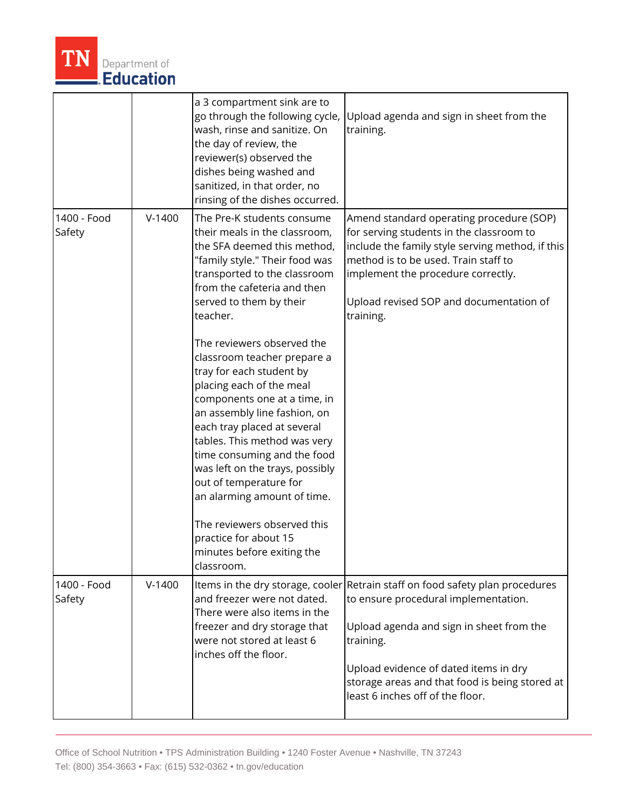

|                       |          | a 3 compartment sink are to<br>go through the following cycle,<br>wash, rinse and sanitize. On<br>the day of review, the<br>reviewer(s) observed the<br>dishes being washed and<br>sanitized, in that order, no<br>rinsing of the dishes occurred.                                                                                                                                                                                                                                                                                                                                                                                                                                                                    | Upload agenda and sign in sheet from the<br>training.                                                                                                                                                                                                                                                         |
|-----------------------|----------|-----------------------------------------------------------------------------------------------------------------------------------------------------------------------------------------------------------------------------------------------------------------------------------------------------------------------------------------------------------------------------------------------------------------------------------------------------------------------------------------------------------------------------------------------------------------------------------------------------------------------------------------------------------------------------------------------------------------------|---------------------------------------------------------------------------------------------------------------------------------------------------------------------------------------------------------------------------------------------------------------------------------------------------------------|
| 1400 - Food<br>Safety | $V-1400$ | The Pre-K students consume<br>their meals in the classroom,<br>the SFA deemed this method,<br>"family style." Their food was<br>transported to the classroom<br>from the cafeteria and then<br>served to them by their<br>teacher.<br>The reviewers observed the<br>classroom teacher prepare a<br>tray for each student by<br>placing each of the meal<br>components one at a time, in<br>an assembly line fashion, on<br>each tray placed at several<br>tables. This method was very<br>time consuming and the food<br>was left on the trays, possibly<br>out of temperature for<br>an alarming amount of time.<br>The reviewers observed this<br>practice for about 15<br>minutes before exiting the<br>classroom. | Amend standard operating procedure (SOP)<br>for serving students in the classroom to<br>include the family style serving method, if this<br>method is to be used. Train staff to<br>implement the procedure correctly.<br>Upload revised SOP and documentation of<br>training.                                |
| 1400 - Food<br>Safety | $V-1400$ | and freezer were not dated.<br>There were also items in the<br>freezer and dry storage that<br>were not stored at least 6<br>inches off the floor.                                                                                                                                                                                                                                                                                                                                                                                                                                                                                                                                                                    | Items in the dry storage, cooler Retrain staff on food safety plan procedures<br>to ensure procedural implementation.<br>Upload agenda and sign in sheet from the<br>training.<br>Upload evidence of dated items in dry<br>storage areas and that food is being stored at<br>least 6 inches off of the floor. |